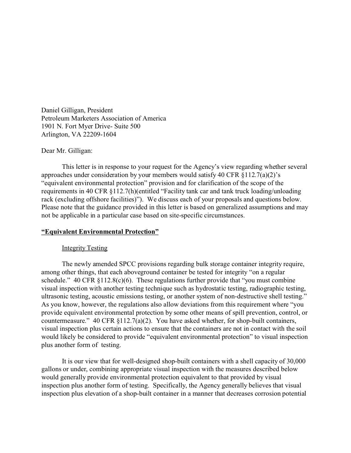Daniel Gilligan, President Petroleum Marketers Association of America 1901 N. Fort Myer Drive- Suite 500 Arlington, VA 22209-1604

## Dear Mr. Gilligan:

This letter is in response to your request for the Agency's view regarding whether several approaches under consideration by your members would satisfy 40 CFR §112.7(a)(2)'s "equivalent environmental protection" provision and for clarification of the scope of the requirements in 40 CFR §112.7(h)(entitled "Facility tank car and tank truck loading/unloading rack (excluding offshore facilities)"). We discuss each of your proposals and questions below. Please note that the guidance provided in this letter is based on generalized assumptions and may not be applicable in a particular case based on site-specific circumstances.

## **"Equivalent Environmental Protection"**

### Integrity Testing

The newly amended SPCC provisions regarding bulk storage container integrity require, among other things, that each aboveground container be tested for integrity "on a regular schedule."  $40 \text{ CFR } \S 112.8(c)(6)$ . These regulations further provide that "you must combine" visual inspection with another testing technique such as hydrostatic testing, radiographic testing, ultrasonic testing, acoustic emissions testing, or another system of non-destructive shell testing." As you know, however, the regulations also allow deviations from this requirement where "you provide equivalent environmental protection by some other means of spill prevention, control, or countermeasure." 40 CFR §112.7(a)(2). You have asked whether, for shop-built containers, visual inspection plus certain actions to ensure that the containers are not in contact with the soil would likely be considered to provide "equivalent environmental protection" to visual inspection plus another form of testing.

It is our view that for well-designed shop-built containers with a shell capacity of 30,000 gallons or under, combining appropriate visual inspection with the measures described below would generally provide environmental protection equivalent to that provided by visual inspection plus another form of testing. Specifically, the Agency generally believes that visual inspection plus elevation of a shop-built container in a manner that decreases corrosion potential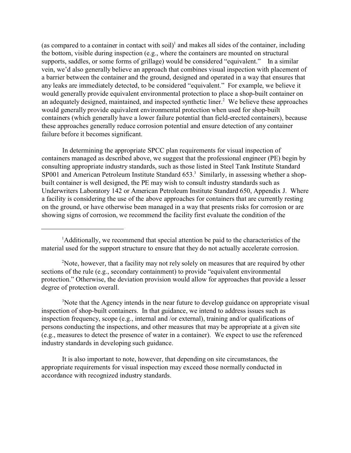(as compared to a container in contact with soil)<sup>1</sup> and makes all sides of the container, including the bottom, visible during inspection (e.g., where the containers are mounted on structural supports, saddles, or some forms of grillage) would be considered "equivalent." In a similar vein, we'd also generally believe an approach that combines visual inspection with placement of a barrier between the container and the ground, designed and operated in a way that ensures that any leaks are immediately detected, to be considered "equivalent." For example, we believe it would generally provide equivalent environmental protection to place a shop-built container on an adequately designed, maintained, and inspected synthetic liner.<sup>2</sup> We believe these approaches would generally provide equivalent environmental protection when used for shop-built containers (which generally have a lower failure potential than field-erected containers), because these approaches generally reduce corrosion potential and ensure detection of any container failure before it becomes significant.

In determining the appropriate SPCC plan requirements for visual inspection of containers managed as described above, we suggest that the professional engineer (PE) begin by consulting appropriate industry standards, such as those listed in Steel Tank Institute Standard SP001 and American Petroleum Institute Standard 653.<sup>3</sup> Similarly, in assessing whether a shopbuilt container is well designed, the PE may wish to consult industry standards such as Underwriters Laboratory 142 or American Petroleum Institute Standard 650, Appendix J. Where a facility is considering the use of the above approaches for containers that are currently resting on the ground, or have otherwise been managed in a way that presents risks for corrosion or are showing signs of corrosion, we recommend the facility first evaluate the condition of the

<sup>2</sup>Note, however, that a facility may not rely solely on measures that are required by other sections of the rule (e.g., secondary containment) to provide "equivalent environmental protection." Otherwise, the deviation provision would allow for approaches that provide a lesser degree of protection overall.

<sup>3</sup>Note that the Agency intends in the near future to develop guidance on appropriate visual inspection of shop-built containers. In that guidance, we intend to address issues such as inspection frequency, scope (e.g., internal and /or external), training and/or qualifications of persons conducting the inspections, and other measures that may be appropriate at a given site (e.g., measures to detect the presence of water in a container). We expect to use the referenced industry standards in developing such guidance.

It is also important to note, however, that depending on site circumstances, the appropriate requirements for visual inspection may exceed those normally conducted in accordance with recognized industry standards.

<sup>&</sup>lt;sup>1</sup>Additionally, we recommend that special attention be paid to the characteristics of the material used for the support structure to ensure that they do not actually accelerate corrosion.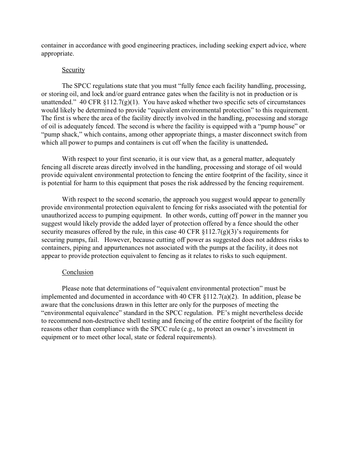container in accordance with good engineering practices, including seeking expert advice, where appropriate.

# **Security**

The SPCC regulations state that you must "fully fence each facility handling, processing, or storing oil, and lock and/or guard entrance gates when the facility is not in production or is unattended." 40 CFR  $\S 112.7(g)(1)$ . You have asked whether two specific sets of circumstances would likely be determined to provide "equivalent environmental protection" to this requirement. The first is where the area of the facility directly involved in the handling, processing and storage of oil is adequately fenced. The second is where the facility is equipped with a "pump house" or "pump shack," which contains, among other appropriate things, a master disconnect switch from which all power to pumps and containers is cut off when the facility is unattended**.** 

With respect to your first scenario, it is our view that, as a general matter, adequately fencing all discrete areas directly involved in the handling, processing and storage of oil would provide equivalent environmental protection to fencing the entire footprint of the facility, since it is potential for harm to this equipment that poses the risk addressed by the fencing requirement.

With respect to the second scenario, the approach you suggest would appear to generally provide environmental protection equivalent to fencing for risks associated with the potential for unauthorized access to pumping equipment. In other words, cutting off power in the manner you suggest would likely provide the added layer of protection offered by a fence should the other security measures offered by the rule, in this case 40 CFR  $\S 112.7(g)(3)$ 's requirements for securing pumps, fail. However, because cutting off power as suggested does not address risks to containers, piping and appurtenances not associated with the pumps at the facility, it does not appear to provide protection equivalent to fencing as it relates to risks to such equipment.

# Conclusion

Please note that determinations of "equivalent environmental protection" must be implemented and documented in accordance with 40 CFR §112.7(a)(2). In addition, please be aware that the conclusions drawn in this letter are only for the purposes of meeting the "environmental equivalence" standard in the SPCC regulation. PE's might nevertheless decide to recommend non-destructive shell testing and fencing of the entire footprint of the facility for reasons other than compliance with the SPCC rule (e.g., to protect an owner's investment in equipment or to meet other local, state or federal requirements).